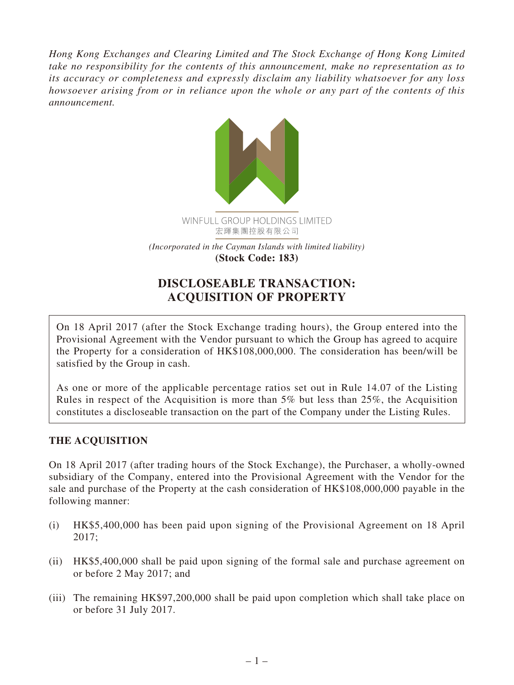*Hong Kong Exchanges and Clearing Limited and The Stock Exchange of Hong Kong Limited take no responsibility for the contents of this announcement, make no representation as to its accuracy or completeness and expressly disclaim any liability whatsoever for any loss howsoever arising from or in reliance upon the whole or any part of the contents of this announcement.*



# **DISCLOSEABLE TRANSACTION: ACQUISITION OF PROPERTY**

On 18 April 2017 (after the Stock Exchange trading hours), the Group entered into the Provisional Agreement with the Vendor pursuant to which the Group has agreed to acquire the Property for a consideration of HK\$108,000,000. The consideration has been/will be satisfied by the Group in cash.

As one or more of the applicable percentage ratios set out in Rule 14.07 of the Listing Rules in respect of the Acquisition is more than 5% but less than 25%, the Acquisition constitutes a discloseable transaction on the part of the Company under the Listing Rules.

### **THE ACQUISITION**

On 18 April 2017 (after trading hours of the Stock Exchange), the Purchaser, a wholly-owned subsidiary of the Company, entered into the Provisional Agreement with the Vendor for the sale and purchase of the Property at the cash consideration of HK\$108,000,000 payable in the following manner:

- (i) HK\$5,400,000 has been paid upon signing of the Provisional Agreement on 18 April 2017;
- (ii) HK\$5,400,000 shall be paid upon signing of the formal sale and purchase agreement on or before 2 May 2017; and
- (iii) The remaining HK\$97,200,000 shall be paid upon completion which shall take place on or before 31 July 2017.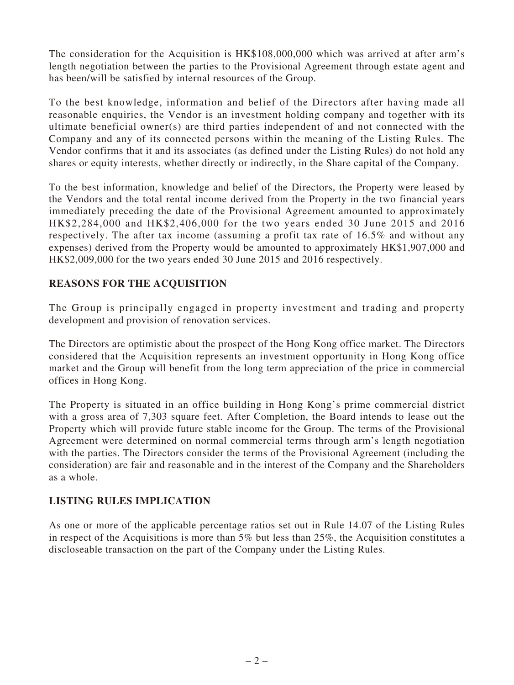The consideration for the Acquisition is HK\$108,000,000 which was arrived at after arm's length negotiation between the parties to the Provisional Agreement through estate agent and has been/will be satisfied by internal resources of the Group.

To the best knowledge, information and belief of the Directors after having made all reasonable enquiries, the Vendor is an investment holding company and together with its ultimate beneficial owner(s) are third parties independent of and not connected with the Company and any of its connected persons within the meaning of the Listing Rules. The Vendor confirms that it and its associates (as defined under the Listing Rules) do not hold any shares or equity interests, whether directly or indirectly, in the Share capital of the Company.

To the best information, knowledge and belief of the Directors, the Property were leased by the Vendors and the total rental income derived from the Property in the two financial years immediately preceding the date of the Provisional Agreement amounted to approximately HK\$2,284,000 and HK\$2,406,000 for the two years ended 30 June 2015 and 2016 respectively. The after tax income (assuming a profit tax rate of 16.5% and without any expenses) derived from the Property would be amounted to approximately HK\$1,907,000 and HK\$2,009,000 for the two years ended 30 June 2015 and 2016 respectively.

#### **REASONS FOR THE ACQUISITION**

The Group is principally engaged in property investment and trading and property development and provision of renovation services.

The Directors are optimistic about the prospect of the Hong Kong office market. The Directors considered that the Acquisition represents an investment opportunity in Hong Kong office market and the Group will benefit from the long term appreciation of the price in commercial offices in Hong Kong.

The Property is situated in an office building in Hong Kong's prime commercial district with a gross area of 7,303 square feet. After Completion, the Board intends to lease out the Property which will provide future stable income for the Group. The terms of the Provisional Agreement were determined on normal commercial terms through arm's length negotiation with the parties. The Directors consider the terms of the Provisional Agreement (including the consideration) are fair and reasonable and in the interest of the Company and the Shareholders as a whole.

#### **LISTING RULES IMPLICATION**

As one or more of the applicable percentage ratios set out in Rule 14.07 of the Listing Rules in respect of the Acquisitions is more than 5% but less than 25%, the Acquisition constitutes a discloseable transaction on the part of the Company under the Listing Rules.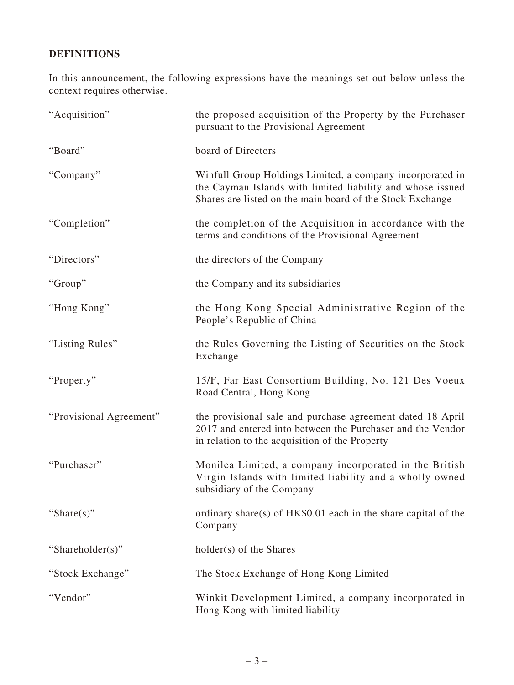## **DEFINITIONS**

In this announcement, the following expressions have the meanings set out below unless the context requires otherwise.

| "Acquisition"           | the proposed acquisition of the Property by the Purchaser<br>pursuant to the Provisional Agreement                                                                                   |
|-------------------------|--------------------------------------------------------------------------------------------------------------------------------------------------------------------------------------|
| "Board"                 | board of Directors                                                                                                                                                                   |
| "Company"               | Winfull Group Holdings Limited, a company incorporated in<br>the Cayman Islands with limited liability and whose issued<br>Shares are listed on the main board of the Stock Exchange |
| "Completion"            | the completion of the Acquisition in accordance with the<br>terms and conditions of the Provisional Agreement                                                                        |
| "Directors"             | the directors of the Company                                                                                                                                                         |
| "Group"                 | the Company and its subsidiaries                                                                                                                                                     |
| "Hong Kong"             | the Hong Kong Special Administrative Region of the<br>People's Republic of China                                                                                                     |
| "Listing Rules"         | the Rules Governing the Listing of Securities on the Stock<br>Exchange                                                                                                               |
| "Property"              | 15/F, Far East Consortium Building, No. 121 Des Voeux<br>Road Central, Hong Kong                                                                                                     |
| "Provisional Agreement" | the provisional sale and purchase agreement dated 18 April<br>2017 and entered into between the Purchaser and the Vendor<br>in relation to the acquisition of the Property           |
| "Purchaser"             | Monilea Limited, a company incorporated in the British<br>Virgin Islands with limited liability and a wholly owned<br>subsidiary of the Company                                      |
| "Share $(s)$ "          | ordinary share(s) of $HK$0.01$ each in the share capital of the<br>Company                                                                                                           |
| "Shareholder(s)"        | holder(s) of the Shares                                                                                                                                                              |
| "Stock Exchange"        | The Stock Exchange of Hong Kong Limited                                                                                                                                              |
| "Vendor"                | Winkit Development Limited, a company incorporated in<br>Hong Kong with limited liability                                                                                            |